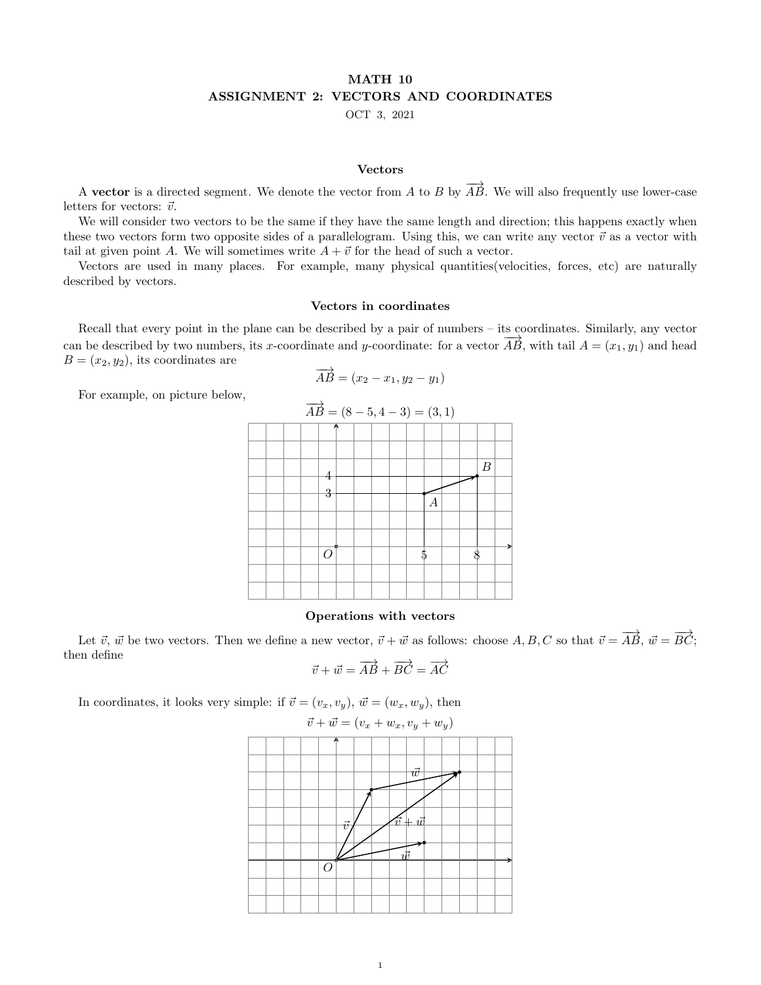# MATH 10 ASSIGNMENT 2: VECTORS AND COORDINATES

OCT 3, 2021

### Vectors

A vector is a directed segment. We denote the vector from A to B by  $\overrightarrow{AB}$ . We will also frequently use lower-case letters for vectors:  $\vec{v}$ .

We will consider two vectors to be the same if they have the same length and direction; this happens exactly when these two vectors form two opposite sides of a parallelogram. Using this, we can write any vector  $\vec{v}$  as a vector with tail at given point A. We will sometimes write  $A + \vec{v}$  for the head of such a vector.

Vectors are used in many places. For example, many physical quantities(velocities, forces, etc) are naturally described by vectors.

## Vectors in coordinates

Recall that every point in the plane can be described by a pair of numbers – its coordinates. Similarly, any vector can be described by two numbers, its x-coordinate and y-coordinate: for a vector  $\overrightarrow{AB}$ , with tail  $A = (x_1, y_1)$  and head  $B = (x_2, y_2)$ , its coordinates are

$$
\overrightarrow{AB} = (x_2 - x_1, y_2 - y_1)
$$

For example, on picture below,

| $\overrightarrow{AB} = (8-5, 4-3) = (3,1)$ |  |  |          |  |  |  |  |    |                |  |  |                  |  |  |
|--------------------------------------------|--|--|----------|--|--|--|--|----|----------------|--|--|------------------|--|--|
|                                            |  |  | А        |  |  |  |  |    |                |  |  |                  |  |  |
|                                            |  |  |          |  |  |  |  |    |                |  |  |                  |  |  |
|                                            |  |  | 4        |  |  |  |  |    |                |  |  | $\boldsymbol{B}$ |  |  |
|                                            |  |  | 3        |  |  |  |  |    | $\overline{A}$ |  |  |                  |  |  |
|                                            |  |  |          |  |  |  |  |    |                |  |  |                  |  |  |
|                                            |  |  |          |  |  |  |  |    |                |  |  |                  |  |  |
|                                            |  |  | $\Omega$ |  |  |  |  | ŗ. |                |  |  |                  |  |  |
|                                            |  |  |          |  |  |  |  |    |                |  |  |                  |  |  |
|                                            |  |  |          |  |  |  |  |    |                |  |  |                  |  |  |

## Operations with vectors

Let  $\vec{v}$ ,  $\vec{w}$  be two vectors. Then we define a new vector,  $\vec{v} + \vec{w}$  as follows: choose  $A, B, C$  so that  $\vec{v} = \overrightarrow{AB}$ ,  $\vec{w} = \overrightarrow{BC}$ ; then define

$$
\vec{v} + \vec{w} = \overrightarrow{AB} + \overrightarrow{BC} = \overrightarrow{AC}
$$

In coordinates, it looks very simple: if  $\vec{v} = (v_x, v_y), \vec{w} = (w_x, w_y)$ , then

$$
\vec{v} + \vec{w} = (v_x + w_x, v_y + w_y)
$$